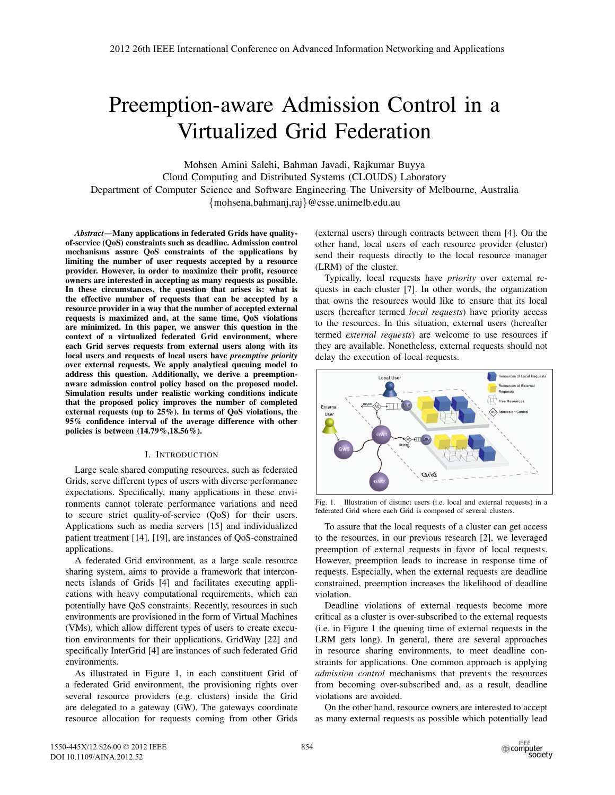# Preemption-aware Admission Control in a Virtualized Grid Federation

Mohsen Amini Salehi, Bahman Javadi, Rajkumar Buyya Cloud Computing and Distributed Systems (CLOUDS) Laboratory Department of Computer Science and Software Engineering The University of Melbourne, Australia {mohsena,bahmanj,raj}@csse.unimelb.edu.au

*Abstract*—Many applications in federated Grids have qualityof-service (QoS) constraints such as deadline. Admission control mechanisms assure QoS constraints of the applications by limiting the number of user requests accepted by a resource provider. However, in order to maximize their profit, resource owners are interested in accepting as many requests as possible. In these circumstances, the question that arises is: what is the effective number of requests that can be accepted by a resource provider in a way that the number of accepted external requests is maximized and, at the same time, QoS violations are minimized. In this paper, we answer this question in the context of a virtualized federated Grid environment, where each Grid serves requests from external users along with its local users and requests of local users have *preemptive priority* over external requests. We apply analytical queuing model to address this question. Additionally, we derive a preemptionaware admission control policy based on the proposed model. Simulation results under realistic working conditions indicate that the proposed policy improves the number of completed external requests (up to 25%). In terms of QoS violations, the 95% confidence interval of the average difference with other policies is between (14.79%,18.56%).

#### I. INTRODUCTION

Large scale shared computing resources, such as federated Grids, serve different types of users with diverse performance expectations. Specifically, many applications in these environments cannot tolerate performance variations and need to secure strict quality-of-service (QoS) for their users. Applications such as media servers [15] and individualized patient treatment [14], [19], are instances of QoS-constrained applications.

A federated Grid environment, as a large scale resource sharing system, aims to provide a framework that interconnects islands of Grids [4] and facilitates executing applications with heavy computational requirements, which can potentially have QoS constraints. Recently, resources in such environments are provisioned in the form of Virtual Machines (VMs), which allow different types of users to create execution environments for their applications. GridWay [22] and specifically InterGrid [4] are instances of such federated Grid environments.

As illustrated in Figure 1, in each constituent Grid of a federated Grid environment, the provisioning rights over several resource providers (e.g. clusters) inside the Grid are delegated to a gateway (GW). The gateways coordinate resource allocation for requests coming from other Grids (external users) through contracts between them [4]. On the other hand, local users of each resource provider (cluster) send their requests directly to the local resource manager (LRM) of the cluster.

Typically, local requests have *priority* over external requests in each cluster [7]. In other words, the organization that owns the resources would like to ensure that its local users (hereafter termed *local requests*) have priority access to the resources. In this situation, external users (hereafter termed *external requests*) are welcome to use resources if they are available. Nonetheless, external requests should not delay the execution of local requests.



Fig. 1. Illustration of distinct users (i.e. local and external requests) in a federated Grid where each Grid is composed of several clusters.

To assure that the local requests of a cluster can get access to the resources, in our previous research [2], we leveraged preemption of external requests in favor of local requests. However, preemption leads to increase in response time of requests. Especially, when the external requests are deadline constrained, preemption increases the likelihood of deadline violation.

Deadline violations of external requests become more critical as a cluster is over-subscribed to the external requests (i.e. in Figure 1 the queuing time of external requests in the LRM gets long). In general, there are several approaches in resource sharing environments, to meet deadline constraints for applications. One common approach is applying *admission control* mechanisms that prevents the resources from becoming over-subscribed and, as a result, deadline violations are avoided.

On the other hand, resource owners are interested to accept as many external requests as possible which potentially lead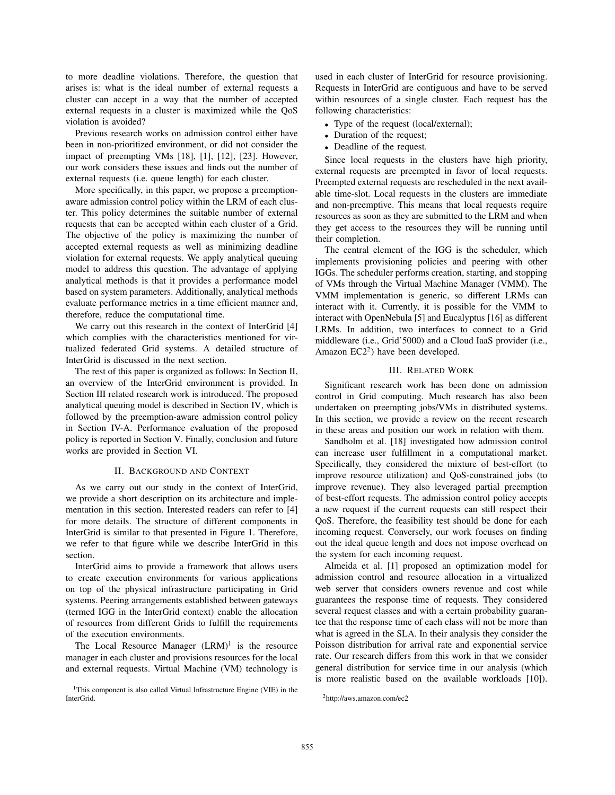to more deadline violations. Therefore, the question that arises is: what is the ideal number of external requests a cluster can accept in a way that the number of accepted external requests in a cluster is maximized while the QoS violation is avoided?

Previous research works on admission control either have been in non-prioritized environment, or did not consider the impact of preempting VMs [18], [1], [12], [23]. However, our work considers these issues and finds out the number of external requests (i.e. queue length) for each cluster.

More specifically, in this paper, we propose a preemptionaware admission control policy within the LRM of each cluster. This policy determines the suitable number of external requests that can be accepted within each cluster of a Grid. The objective of the policy is maximizing the number of accepted external requests as well as minimizing deadline violation for external requests. We apply analytical queuing model to address this question. The advantage of applying analytical methods is that it provides a performance model based on system parameters. Additionally, analytical methods evaluate performance metrics in a time efficient manner and, therefore, reduce the computational time.

We carry out this research in the context of InterGrid [4] which complies with the characteristics mentioned for virtualized federated Grid systems. A detailed structure of InterGrid is discussed in the next section.

The rest of this paper is organized as follows: In Section II, an overview of the InterGrid environment is provided. In Section III related research work is introduced. The proposed analytical queuing model is described in Section IV, which is followed by the preemption-aware admission control policy in Section IV-A. Performance evaluation of the proposed policy is reported in Section V. Finally, conclusion and future works are provided in Section VI.

#### II. BACKGROUND AND CONTEXT

As we carry out our study in the context of InterGrid, we provide a short description on its architecture and implementation in this section. Interested readers can refer to [4] for more details. The structure of different components in InterGrid is similar to that presented in Figure 1. Therefore, we refer to that figure while we describe InterGrid in this section.

InterGrid aims to provide a framework that allows users to create execution environments for various applications on top of the physical infrastructure participating in Grid systems. Peering arrangements established between gateways (termed IGG in the InterGrid context) enable the allocation of resources from different Grids to fulfill the requirements of the execution environments.

The Local Resource Manager  $(LRM)^1$  is the resource manager in each cluster and provisions resources for the local and external requests. Virtual Machine (VM) technology is used in each cluster of InterGrid for resource provisioning. Requests in InterGrid are contiguous and have to be served within resources of a single cluster. Each request has the following characteristics:

- Type of the request (local/external);
- Duration of the request;
- Deadline of the request.

Since local requests in the clusters have high priority, external requests are preempted in favor of local requests. Preempted external requests are rescheduled in the next available time-slot. Local requests in the clusters are immediate and non-preemptive. This means that local requests require resources as soon as they are submitted to the LRM and when they get access to the resources they will be running until their completion.

The central element of the IGG is the scheduler, which implements provisioning policies and peering with other IGGs. The scheduler performs creation, starting, and stopping of VMs through the Virtual Machine Manager (VMM). The VMM implementation is generic, so different LRMs can interact with it. Currently, it is possible for the VMM to interact with OpenNebula [5] and Eucalyptus [16] as different LRMs. In addition, two interfaces to connect to a Grid middleware (i.e., Grid'5000) and a Cloud IaaS provider (i.e., Amazon  $EC2<sup>2</sup>$ ) have been developed.

#### III. RELATED WORK

Significant research work has been done on admission control in Grid computing. Much research has also been undertaken on preempting jobs/VMs in distributed systems. In this section, we provide a review on the recent research in these areas and position our work in relation with them.

Sandholm et al. [18] investigated how admission control can increase user fulfillment in a computational market. Specifically, they considered the mixture of best-effort (to improve resource utilization) and QoS-constrained jobs (to improve revenue). They also leveraged partial preemption of best-effort requests. The admission control policy accepts a new request if the current requests can still respect their QoS. Therefore, the feasibility test should be done for each incoming request. Conversely, our work focuses on finding out the ideal queue length and does not impose overhead on the system for each incoming request.

Almeida et al. [1] proposed an optimization model for admission control and resource allocation in a virtualized web server that considers owners revenue and cost while guarantees the response time of requests. They considered several request classes and with a certain probability guarantee that the response time of each class will not be more than what is agreed in the SLA. In their analysis they consider the Poisson distribution for arrival rate and exponential service rate. Our research differs from this work in that we consider general distribution for service time in our analysis (which is more realistic based on the available workloads [10]).

<sup>&</sup>lt;sup>1</sup>This component is also called Virtual Infrastructure Engine (VIE) in the InterGrid.

<sup>2</sup>http://aws.amazon.com/ec2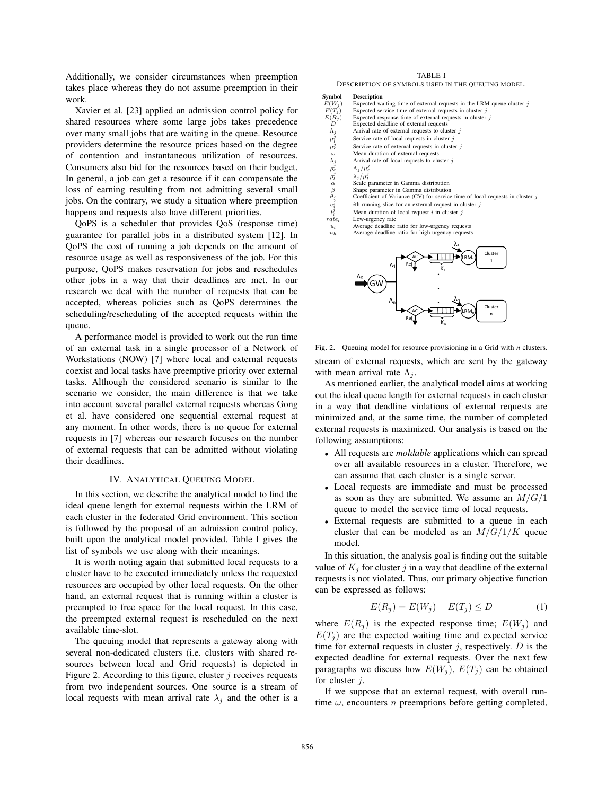Additionally, we consider circumstances when preemption takes place whereas they do not assume preemption in their work.

Xavier et al. [23] applied an admission control policy for shared resources where some large jobs takes precedence over many small jobs that are waiting in the queue. Resource providers determine the resource prices based on the degree of contention and instantaneous utilization of resources. Consumers also bid for the resources based on their budget. In general, a job can get a resource if it can compensate the loss of earning resulting from not admitting several small jobs. On the contrary, we study a situation where preemption happens and requests also have different priorities.

QoPS is a scheduler that provides QoS (response time) guarantee for parallel jobs in a distributed system [12]. In QoPS the cost of running a job depends on the amount of resource usage as well as responsiveness of the job. For this purpose, QoPS makes reservation for jobs and reschedules other jobs in a way that their deadlines are met. In our research we deal with the number of requests that can be accepted, whereas policies such as QoPS determines the scheduling/rescheduling of the accepted requests within the queue.

A performance model is provided to work out the run time of an external task in a single processor of a Network of Workstations (NOW) [7] where local and external requests coexist and local tasks have preemptive priority over external tasks. Although the considered scenario is similar to the scenario we consider, the main difference is that we take into account several parallel external requests whereas Gong et al. have considered one sequential external request at any moment. In other words, there is no queue for external requests in [7] whereas our research focuses on the number of external requests that can be admitted without violating their deadlines.

#### IV. ANALYTICAL QUEUING MODEL

In this section, we describe the analytical model to find the ideal queue length for external requests within the LRM of each cluster in the federated Grid environment. This section is followed by the proposal of an admission control policy, built upon the analytical model provided. Table I gives the list of symbols we use along with their meanings.

It is worth noting again that submitted local requests to a cluster have to be executed immediately unless the requested resources are occupied by other local requests. On the other hand, an external request that is running within a cluster is preempted to free space for the local request. In this case, the preempted external request is rescheduled on the next available time-slot.

The queuing model that represents a gateway along with several non-dedicated clusters (i.e. clusters with shared resources between local and Grid requests) is depicted in Figure 2. According to this figure, cluster  $j$  receives requests from two independent sources. One source is a stream of local requests with mean arrival rate  $\lambda_j$  and the other is a

TABLE I DESCRIPTION OF SYMBOLS USED IN THE QUEUING MODEL.

| Symbol                                                           | <b>Description</b>                                                             |
|------------------------------------------------------------------|--------------------------------------------------------------------------------|
| $E(W_i)$                                                         | Expected waiting time of external requests in the LRM queue cluster $j$        |
| $E(T_i)$                                                         | Expected service time of external requests in cluster $\dot{\eta}$             |
| $E(R_i)$                                                         | Expected response time of external requests in cluster $i$                     |
| D                                                                | Expected deadline of external requests                                         |
|                                                                  | Arrival rate of external requests to cluster $j$                               |
| $\begin{array}{c} \Lambda_j \\ \mu_l^j \\ \mu_e^j \end{array}$   | Service rate of local requests in cluster $j$                                  |
|                                                                  | Service rate of external requests in cluster $i$                               |
| $\omega$                                                         | Mean duration of external requests                                             |
|                                                                  | Arrival rate of local requests to cluster $j$                                  |
| $\lambda_j$<br>$\rho_e^j$<br>$\rho_l^j$                          | $\Lambda_i/\mu_e^j$                                                            |
|                                                                  | $\lambda_i/\mu_i^j$                                                            |
| $\alpha$                                                         | Scale parameter in Gamma distribution                                          |
|                                                                  | Shape parameter in Gamma distribution                                          |
|                                                                  | Coefficient of Variance (CV) for service time of local requests in cluster $j$ |
| $\begin{array}{c}\beta \\ \theta_j \\ e_i^j \\ l_i^j\end{array}$ | <i>i</i> th running slice for an external request in cluster $j$               |
|                                                                  | Mean duration of local request $i$ in cluster $j$                              |
| rate                                                             | Low-urgency rate                                                               |
| $u_l$                                                            | Average deadline ratio for low-urgency requests                                |
| $u_h$                                                            | Average deadline ratio for high-urgency requests                               |
|                                                                  |                                                                                |



Fig. 2. Queuing model for resource provisioning in a Grid with *n* clusters. stream of external requests, which are sent by the gateway with mean arrival rate  $\Lambda_i$ .

As mentioned earlier, the analytical model aims at working out the ideal queue length for external requests in each cluster in a way that deadline violations of external requests are minimized and, at the same time, the number of completed external requests is maximized. Our analysis is based on the following assumptions:

- All requests are *moldable* applications which can spread over all available resources in a cluster. Therefore, we can assume that each cluster is a single server.
- Local requests are immediate and must be processed as soon as they are submitted. We assume an  $M/G/1$ queue to model the service time of local requests.
- External requests are submitted to a queue in each cluster that can be modeled as an  $M/G/1/K$  queue model.

In this situation, the analysis goal is finding out the suitable value of  $K_j$  for cluster j in a way that deadline of the external requests is not violated. Thus, our primary objective function can be expressed as follows:

$$
E(R_j) = E(W_j) + E(T_j) \le D \tag{1}
$$

where  $E(R_j)$  is the expected response time;  $E(W_j)$  and  $E(T_i)$  are the expected waiting time and expected service time for external requests in cluster  $j$ , respectively.  $D$  is the expected deadline for external requests. Over the next few paragraphs we discuss how  $E(W_i)$ ,  $E(T_i)$  can be obtained for cluster j.

If we suppose that an external request, with overall runtime  $\omega$ , encounters *n* preemptions before getting completed,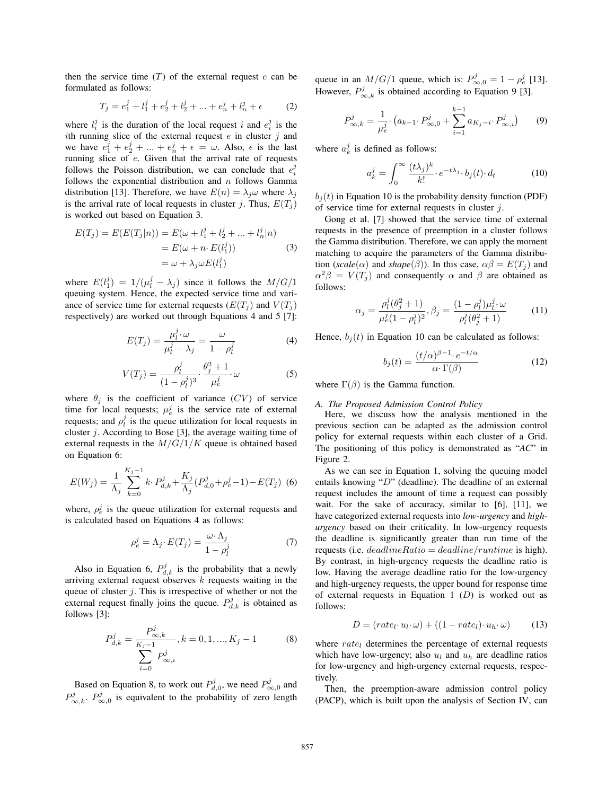then the service time  $(T)$  of the external request  $e$  can be formulated as follows:

$$
T_j = e_1^j + l_1^j + e_2^j + l_2^j + \dots + e_n^j + l_n^j + \epsilon \tag{2}
$$

where  $l_i^j$  is the duration of the local request i and  $e_i^j$  is the ith running slice of the external request  $e$  in cluster  $j$  and we have  $e_1^j + e_2^j + \dots + e_n^j + \epsilon = \omega$ . Also,  $\epsilon$  is the last running slice of e. Given that the arrival rate of requests follows the Poisson distribution, we can conclude that  $e_i^j$ follows the exponential distribution and  $n$  follows Gamma distribution [13]. Therefore, we have  $E(n) = \lambda_i \omega$  where  $\lambda_i$ is the arrival rate of local requests in cluster j. Thus,  $E(T_i)$ is worked out based on Equation 3.

$$
E(T_j) = E(E(T_j|n)) = E(\omega + l_1^j + l_2^j + \dots + l_n^j|n)
$$
  
=  $E(\omega + n \cdot E(l_1^j))$  (3)  
=  $\omega + \lambda_j \omega E(l_1^j)$ 

where  $E(l_1^j) = 1/(\mu_l^j - \lambda_j)$  since it follows the  $M/G/1$ queuing system. Hence, the expected service time and variance of service time for external requests  $(E(T_i))$  and  $V(T_i)$ respectively) are worked out through Equations 4 and 5 [7]:

$$
E(T_j) = \frac{\mu_l^j \cdot \omega}{\mu_l^j - \lambda_j} = \frac{\omega}{1 - \rho_l^j}
$$
 (4)

$$
V(T_j) = \frac{\rho_l^j}{(1 - \rho_l^j)^3} \cdot \frac{\theta_j^2 + 1}{\mu_e^j} \cdot \omega \tag{5}
$$

where  $\theta_i$  is the coefficient of variance (CV) of service time for local requests;  $\mu_e^j$  is the service rate of external requests; and  $\rho_l^j$  is the queue utilization for local requests in cluster  $j$ . According to Bose [3], the average waiting time of external requests in the  $M/G/1/K$  queue is obtained based on Equation 6:

$$
E(W_j) = \frac{1}{\Lambda_j} \sum_{k=0}^{K_j - 1} k \cdot P_{d,k}^j + \frac{K_j}{\Lambda_j} (P_{d,0}^j + \rho_e^j - 1) - E(T_j) \tag{6}
$$

where,  $\rho_e^j$  is the queue utilization for external requests and is calculated based on Equations 4 as follows:

$$
\rho_e^j = \Lambda_j \cdot E(T_j) = \frac{\omega \cdot \Lambda_j}{1 - \rho_l^j} \tag{7}
$$

Also in Equation 6,  $P_{d,k}^{j}$  is the probability that a newly arriving external request observes  $k$  requests waiting in the queue of cluster  $j$ . This is irrespective of whether or not the external request finally joins the queue.  $P_{d,k}^{j}$  is obtained as follows [3]:

$$
P_{d,k}^{j} = \frac{P_{\infty,k}^{j}}{K_{j-1}} , k = 0, 1, ..., K_{j} - 1
$$
 (8)  

$$
\sum_{i=0}^{K_{j-1}} P_{\infty,i}^{j}
$$

Based on Equation 8, to work out  $P_{d,0}^{j}$ , we need  $P_{\infty,0}^{j}$  and  $P_{\infty,k}^j$ .  $P_{\infty,0}^j$  is equivalent to the probability of zero length queue in an  $M/G/1$  queue, which is:  $P_{\infty,0}^j = 1 - \rho_e^j$  [13]. However,  $P_{\infty,k}^j$  is obtained according to Equation 9 [3].

$$
P_{\infty,k}^j = \frac{1}{\mu_e^j} \cdot \left( a_{k-1} \cdot P_{\infty,0}^j + \sum_{i=1}^{k-1} a_{K_j - i} \cdot P_{\infty,i}^j \right) \tag{9}
$$

where  $a_k^j$  is defined as follows:

$$
a_k^j = \int_0^\infty \frac{(t\lambda_j)^k}{k!} \cdot e^{-t\lambda_j} \cdot b_j(t) \cdot d_t \tag{10}
$$

 $b_i(t)$  in Equation 10 is the probability density function (PDF) of service time for external requests in cluster  $j$ .

Gong et al. [7] showed that the service time of external requests in the presence of preemption in a cluster follows the Gamma distribution. Therefore, we can apply the moment matching to acquire the parameters of the Gamma distribution (*scale*( $\alpha$ ) and *shape*( $\beta$ )). In this case,  $\alpha\beta = E(T_i)$  and  $\alpha^2 \beta = V(T_i)$  and consequently  $\alpha$  and  $\beta$  are obtained as follows:

$$
\alpha_j = \frac{\rho_l^j(\theta_j^2 + 1)}{\mu_e^j(1 - \rho_l^j)^2}, \beta_j = \frac{(1 - \rho_l^j)\mu_l^j \cdot \omega}{\rho_l^j(\theta_j^2 + 1)}
$$
(11)

Hence,  $b_i(t)$  in Equation 10 can be calculated as follows:

$$
b_j(t) = \frac{(t/\alpha)^{\beta - 1} \cdot e^{-t/\alpha}}{\alpha \cdot \Gamma(\beta)}
$$
(12)

where  $\Gamma(\beta)$  is the Gamma function.

## *A. The Proposed Admission Control Policy*

Here, we discuss how the analysis mentioned in the previous section can be adapted as the admission control policy for external requests within each cluster of a Grid. The positioning of this policy is demonstrated as "*AC*" in Figure 2.

As we can see in Equation 1, solving the queuing model entails knowing " $D$ " (deadline). The deadline of an external request includes the amount of time a request can possibly wait. For the sake of accuracy, similar to [6], [11], we have categorized external requests into *low-urgency* and *highurgency* based on their criticality. In low-urgency requests the deadline is significantly greater than run time of the requests (i.e.  $deadlineRatio = deadline/runtime$  is high). By contrast, in high-urgency requests the deadline ratio is low. Having the average deadline ratio for the low-urgency and high-urgency requests, the upper bound for response time of external requests in Equation 1  $(D)$  is worked out as follows:

$$
D = (rate_l \cdot u_l \cdot \omega) + ((1 - rate_l) \cdot u_h \cdot \omega) \tag{13}
$$

where  $rate_l$  determines the percentage of external requests which have low-urgency; also  $u_l$  and  $u_h$  are deadline ratios for low-urgency and high-urgency external requests, respectively.

Then, the preemption-aware admission control policy (PACP), which is built upon the analysis of Section IV, can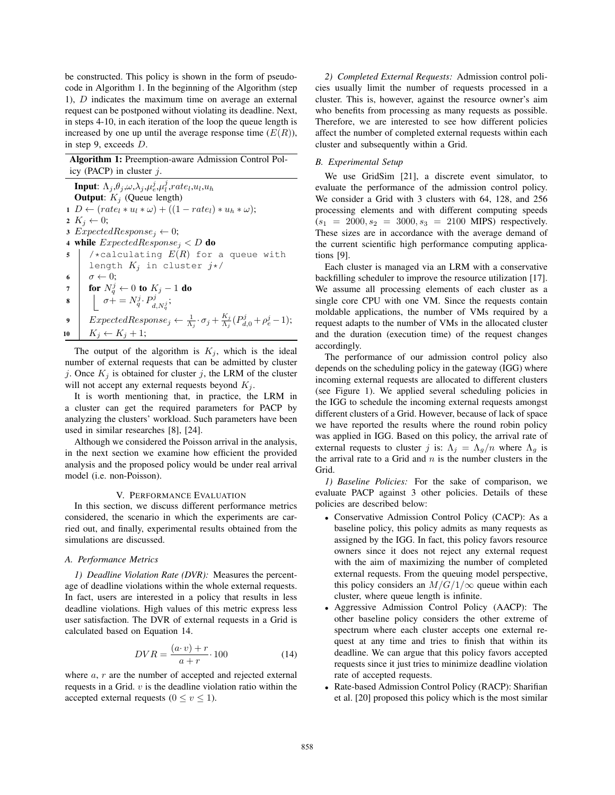be constructed. This policy is shown in the form of pseudocode in Algorithm 1. In the beginning of the Algorithm (step 1), D indicates the maximum time on average an external request can be postponed without violating its deadline. Next, in steps 4-10, in each iteration of the loop the queue length is increased by one up until the average response time  $(E(R))$ , in step 9, exceeds D.

Algorithm 1: Preemption-aware Admission Control Policy (PACP) in cluster  $j$ .

Input:  $\Lambda_j \text{,} \theta_j \text{,} \omega \text{,} \lambda_j \text{,} \mu_e^j \text{,} \mu_l^j \text{,} rate_l \text{,} u_l \text{,} u_h$ **Output:**  $K_j$  (Queue length) 1  $D \leftarrow (rate_l * u_l * \omega) + ((1 - rate_l) * u_h * \omega);$ 2  $K_j \leftarrow 0;$ 3  $ExpectedResponse_j \leftarrow 0;$ 4 while  $ExpectedResponse_i < D$  do 5 /  $\star$  calculating  $E(R)$  for a queue with length  $K_j$  in cluster  $j*/j$ 6  $\sigma \leftarrow 0;$ 7 │ for  $N_q^j \leftarrow 0$  to  $K_j - 1$  do  $\mathbf{s}$   $\left[\begin{array}{c} \sigma + N_q^j \cdot P_{d,N_q^j}^j; \end{array}\right]$ 9  $\Big|$   $ExpectedResponse_j \leftarrow \frac{1}{\Lambda_j} \cdot \sigma_j + \frac{K_j}{\Lambda_j} (P^j_{d,0} + \rho^j_e - 1);$ 10  $K_j \leftarrow K_j + 1;$ 

The output of the algorithm is  $K_i$ , which is the ideal number of external requests that can be admitted by cluster j. Once  $K_i$  is obtained for cluster j, the LRM of the cluster will not accept any external requests beyond  $K_i$ .

It is worth mentioning that, in practice, the LRM in a cluster can get the required parameters for PACP by analyzing the clusters' workload. Such parameters have been used in similar researches [8], [24].

Although we considered the Poisson arrival in the analysis, in the next section we examine how efficient the provided analysis and the proposed policy would be under real arrival model (i.e. non-Poisson).

## V. PERFORMANCE EVALUATION

In this section, we discuss different performance metrics considered, the scenario in which the experiments are carried out, and finally, experimental results obtained from the simulations are discussed.

## *A. Performance Metrics*

*1) Deadline Violation Rate (DVR):* Measures the percentage of deadline violations within the whole external requests. In fact, users are interested in a policy that results in less deadline violations. High values of this metric express less user satisfaction. The DVR of external requests in a Grid is calculated based on Equation 14.

$$
DVR = \frac{(a \cdot v) + r}{a + r} \cdot 100\tag{14}
$$

where  $a, r$  are the number of accepted and rejected external requests in a Grid.  $v$  is the deadline violation ratio within the accepted external requests ( $0 \le v \le 1$ ).

*2) Completed External Requests:* Admission control policies usually limit the number of requests processed in a cluster. This is, however, against the resource owner's aim who benefits from processing as many requests as possible. Therefore, we are interested to see how different policies affect the number of completed external requests within each cluster and subsequently within a Grid.

#### *B. Experimental Setup*

We use GridSim [21], a discrete event simulator, to evaluate the performance of the admission control policy. We consider a Grid with 3 clusters with 64, 128, and 256 processing elements and with different computing speeds  $(s_1 = 2000, s_2 = 3000, s_3 = 2100$  MIPS) respectively. These sizes are in accordance with the average demand of the current scientific high performance computing applications [9].

Each cluster is managed via an LRM with a conservative backfilling scheduler to improve the resource utilization [17]. We assume all processing elements of each cluster as a single core CPU with one VM. Since the requests contain moldable applications, the number of VMs required by a request adapts to the number of VMs in the allocated cluster and the duration (execution time) of the request changes accordingly.

The performance of our admission control policy also depends on the scheduling policy in the gateway (IGG) where incoming external requests are allocated to different clusters (see Figure 1). We applied several scheduling policies in the IGG to schedule the incoming external requests amongst different clusters of a Grid. However, because of lack of space we have reported the results where the round robin policy was applied in IGG. Based on this policy, the arrival rate of external requests to cluster j is:  $\Lambda_i = \Lambda_q/n$  where  $\Lambda_q$  is the arrival rate to a Grid and  $n$  is the number clusters in the Grid.

*1) Baseline Policies:* For the sake of comparison, we evaluate PACP against 3 other policies. Details of these policies are described below:

- Conservative Admission Control Policy (CACP): As a baseline policy, this policy admits as many requests as assigned by the IGG. In fact, this policy favors resource owners since it does not reject any external request with the aim of maximizing the number of completed external requests. From the queuing model perspective, this policy considers an  $M/G/1/\infty$  queue within each cluster, where queue length is infinite.
- Aggressive Admission Control Policy (AACP): The other baseline policy considers the other extreme of spectrum where each cluster accepts one external request at any time and tries to finish that within its deadline. We can argue that this policy favors accepted requests since it just tries to minimize deadline violation rate of accepted requests.
- Rate-based Admission Control Policy (RACP): Sharifian et al. [20] proposed this policy which is the most similar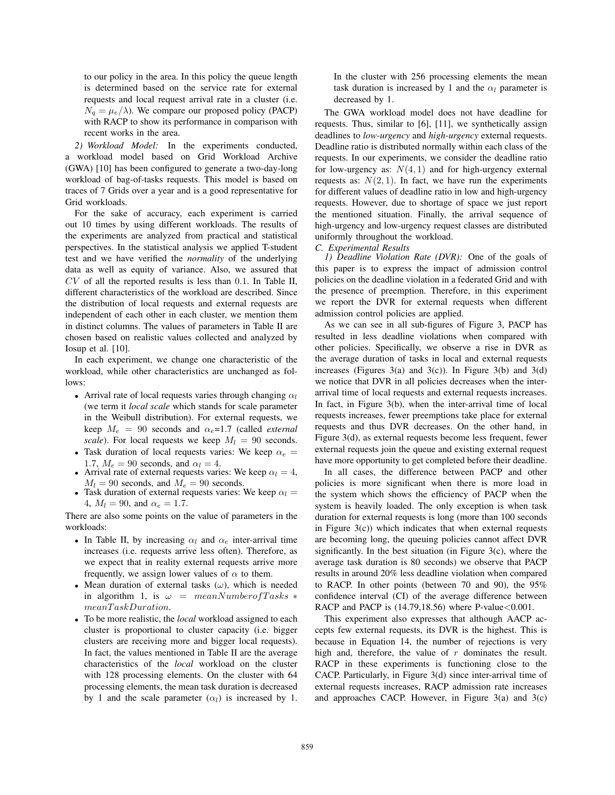to our policy in the area. In this policy the queue length is determined based on the service rate for external requests and local request arrival rate in a cluster (i.e.  $N_q = \mu_e/\lambda$ ). We compare our proposed policy (PACP) with RACP to show its performance in comparison with recent works in the area.

*2) Workload Model:* In the experiments conducted, a workload model based on Grid Workload Archive (GWA) [10] has been configured to generate a two-day-long workload of bag-of-tasks requests. This model is based on traces of 7 Grids over a year and is a good representative for Grid workloads.

For the sake of accuracy, each experiment is carried out 10 times by using different workloads. The results of the experiments are analyzed from practical and statistical perspectives. In the statistical analysis we applied T-student test and we have verified the *normality* of the underlying data as well as equity of variance. Also, we assured that  $CV$  of all the reported results is less than 0.1. In Table II, different characteristics of the workload are described. Since the distribution of local requests and external requests are independent of each other in each cluster, we mention them in distinct columns. The values of parameters in Table II are chosen based on realistic values collected and analyzed by Iosup et al. [10].

In each experiment, we change one characteristic of the workload, while other characteristics are unchanged as follows:

- Arrival rate of local requests varies through changing  $\alpha_l$ (we term it *local scale* which stands for scale parameter in the Weibull distribution). For external requests, we keep  $M_e = 90$  seconds and  $\alpha_e = 1.7$  (called *external scale*). For local requests we keep  $M_l = 90$  seconds.
- Task duration of local requests varies: We keep  $\alpha_e$  = 1.7,  $M_e = 90$  seconds, and  $\alpha_l = 4$ .
- Arrival rate of external requests varies: We keep  $\alpha_l = 4$ ,  $M_l = 90$  seconds, and  $M_e = 90$  seconds.
- Task duration of external requests varies: We keep  $\alpha_l =$ 4,  $M_l = 90$ , and  $\alpha_e = 1.7$ .

There are also some points on the value of parameters in the workloads:

- In Table II, by increasing  $\alpha_l$  and  $\alpha_e$  inter-arrival time increases (i.e. requests arrive less often). Therefore, as we expect that in reality external requests arrive more frequently, we assign lower values of  $\alpha$  to them.
- Mean duration of external tasks  $(\omega)$ , which is needed in algorithm 1, is  $\omega = \text{meanNumber} of Tasks$  \* meanT askDuration.
- To be more realistic, the *local* workload assigned to each cluster is proportional to cluster capacity (i.e. bigger clusters are receiving more and bigger local requests). In fact, the values mentioned in Table II are the average characteristics of the *local* workload on the cluster with 128 processing elements. On the cluster with 64 processing elements, the mean task duration is decreased by 1 and the scale parameter  $(\alpha_l)$  is increased by 1.

In the cluster with 256 processing elements the mean task duration is increased by 1 and the  $\alpha_l$  parameter is decreased by 1.

The GWA workload model does not have deadline for requests. Thus, similar to [6], [11], we synthetically assign deadlines to *low-urgency* and *high-urgency* external requests. Deadline ratio is distributed normally within each class of the requests. In our experiments, we consider the deadline ratio for low-urgency as:  $N(4, 1)$  and for high-urgency external requests as:  $N(2, 1)$ . In fact, we have run the experiments for different values of deadline ratio in low and high-urgency requests. However, due to shortage of space we just report the mentioned situation. Finally, the arrival sequence of high-urgency and low-urgency request classes are distributed uniformly throughout the workload.

*C. Experimental Results*

*1) Deadline Violation Rate (DVR):* One of the goals of this paper is to express the impact of admission control policies on the deadline violation in a federated Grid and with the presence of preemption. Therefore, in this experiment we report the DVR for external requests when different admission control policies are applied.

As we can see in all sub-figures of Figure 3, PACP has resulted in less deadline violations when compared with other policies. Specifically, we observe a rise in DVR as the average duration of tasks in local and external requests increases (Figures 3(a) and 3(c)). In Figure 3(b) and 3(d) we notice that DVR in all policies decreases when the interarrival time of local requests and external requests increases. In fact, in Figure 3(b), when the inter-arrival time of local requests increases, fewer preemptions take place for external requests and thus DVR decreases. On the other hand, in Figure 3(d), as external requests become less frequent, fewer external requests join the queue and existing external request have more opportunity to get completed before their deadline.

In all cases, the difference between PACP and other policies is more significant when there is more load in the system which shows the efficiency of PACP when the system is heavily loaded. The only exception is when task duration for external requests is long (more than 100 seconds in Figure  $3(c)$ ) which indicates that when external requests are becoming long, the queuing policies cannot affect DVR significantly. In the best situation (in Figure  $3(c)$ , where the average task duration is 80 seconds) we observe that PACP results in around 20% less deadline violation when compared to RACP. In other points (between 70 and 90), the 95% confidence interval (CI) of the average difference between RACP and PACP is  $(14.79, 18.56)$  where P-value < 0.001.

This experiment also expresses that although AACP accepts few external requests, its DVR is the highest. This is because in Equation 14, the number of rejections is very high and, therefore, the value of  $r$  dominates the result. RACP in these experiments is functioning close to the CACP. Particularly, in Figure 3(d) since inter-arrival time of external requests increases, RACP admission rate increases and approaches CACP. However, in Figure  $3(a)$  and  $3(c)$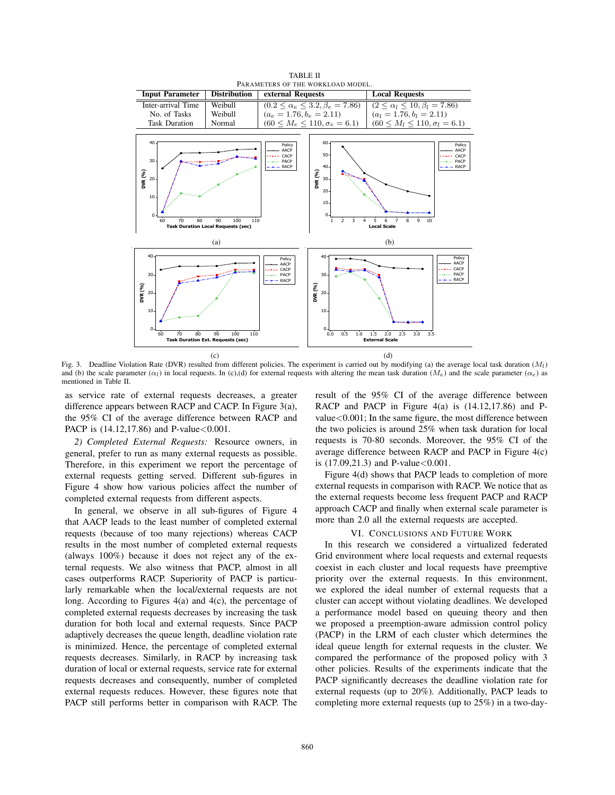

Fig. 3. Deadline Violation Rate (DVR) resulted from different policies. The experiment is carried out by modifying (a) the average local task duration (*Ml*) and (b) the scale parameter ( $\alpha_l$ ) in local requests. In (c),(d) for external requests with altering the mean task duration ( $M_e$ ) and the scale parameter ( $\alpha_e$ ) as mentioned in Table II.

as service rate of external requests decreases, a greater difference appears between RACP and CACP. In Figure 3(a), the 95% CI of the average difference between RACP and PACP is  $(14.12, 17.86)$  and P-value < 0.001.

*2) Completed External Requests:* Resource owners, in general, prefer to run as many external requests as possible. Therefore, in this experiment we report the percentage of external requests getting served. Different sub-figures in Figure 4 show how various policies affect the number of completed external requests from different aspects.

In general, we observe in all sub-figures of Figure 4 that AACP leads to the least number of completed external requests (because of too many rejections) whereas CACP results in the most number of completed external requests (always 100%) because it does not reject any of the external requests. We also witness that PACP, almost in all cases outperforms RACP. Superiority of PACP is particularly remarkable when the local/external requests are not long. According to Figures 4(a) and 4(c), the percentage of completed external requests decreases by increasing the task duration for both local and external requests. Since PACP adaptively decreases the queue length, deadline violation rate is minimized. Hence, the percentage of completed external requests decreases. Similarly, in RACP by increasing task duration of local or external requests, service rate for external requests decreases and consequently, number of completed external requests reduces. However, these figures note that PACP still performs better in comparison with RACP. The

result of the 95% CI of the average difference between RACP and PACP in Figure 4(a) is (14.12,17.86) and Pvalue<0.001; In the same figure, the most difference between the two policies is around 25% when task duration for local requests is 70-80 seconds. Moreover, the 95% CI of the average difference between RACP and PACP in Figure 4(c) is  $(17.09, 21.3)$  and P-value  $< 0.001$ .

Figure 4(d) shows that PACP leads to completion of more external requests in comparison with RACP. We notice that as the external requests become less frequent PACP and RACP approach CACP and finally when external scale parameter is more than 2.0 all the external requests are accepted.

## VI. CONCLUSIONS AND FUTURE WORK

In this research we considered a virtualized federated Grid environment where local requests and external requests coexist in each cluster and local requests have preemptive priority over the external requests. In this environment, we explored the ideal number of external requests that a cluster can accept without violating deadlines. We developed a performance model based on queuing theory and then we proposed a preemption-aware admission control policy (PACP) in the LRM of each cluster which determines the ideal queue length for external requests in the cluster. We compared the performance of the proposed policy with 3 other policies. Results of the experiments indicate that the PACP significantly decreases the deadline violation rate for external requests (up to 20%). Additionally, PACP leads to completing more external requests (up to 25%) in a two-day-